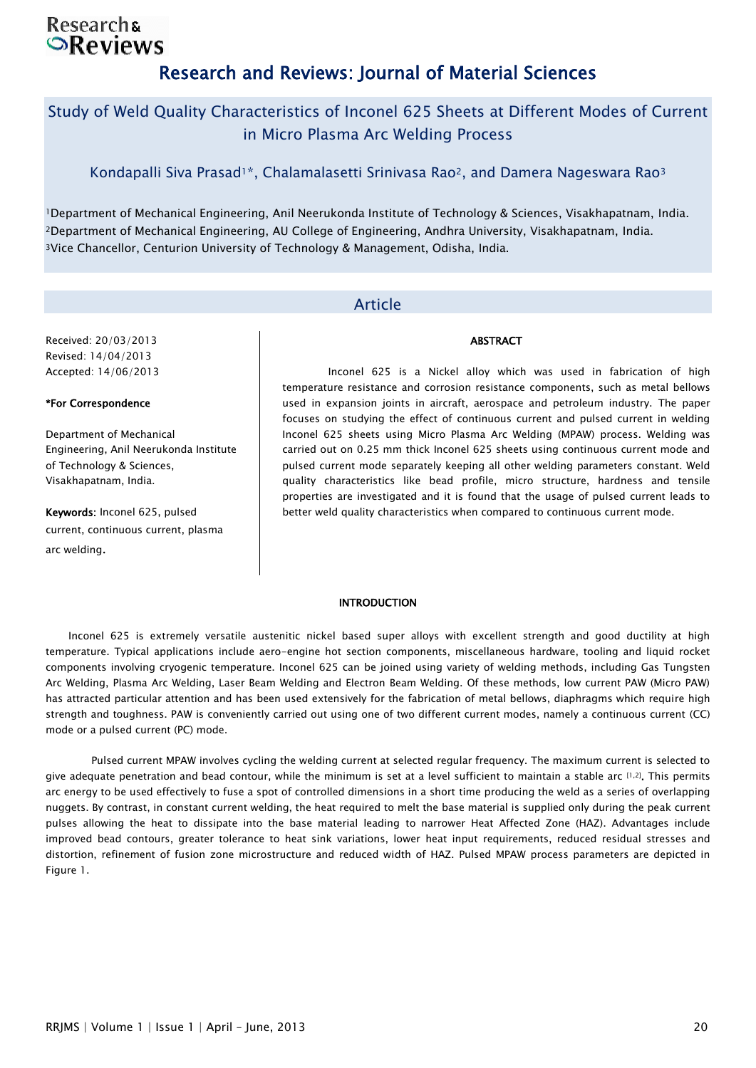# **Researchs SReviews** Research and Reviews: Journal of Material Sciences

# Study of Weld Quality Characteristics of Inconel 625 Sheets at Different Modes of Current in Micro Plasma Arc Welding Process

Kondapalli Siva Prasad<sup>1\*</sup>, Chalamalasetti Srinivasa Rao<sup>2</sup>, and Damera Nageswara Rao<sup>3</sup>

<sup>1</sup>Department of Mechanical Engineering, Anil Neerukonda Institute of Technology & Sciences, Visakhapatnam, India. <sup>2</sup>Department of Mechanical Engineering, AU College of Engineering, Andhra University, Visakhapatnam, India. <sup>3</sup>Vice Chancellor, Centurion University of Technology & Management, Odisha, India.

# Article

Received: 20/03/2013 Revised: 14/04/2013 Accepted: 14/06/2013

### \*For Correspondence

Department of Mechanical Engineering, Anil Neerukonda Institute of Technology & Sciences, Visakhapatnam, India.

Keywords: Inconel 625, pulsed current, continuous current, plasma arc welding.

Inconel 625 is a Nickel alloy which was used in fabrication of high temperature resistance and corrosion resistance components, such as metal bellows used in expansion joints in aircraft, aerospace and petroleum industry. The paper focuses on studying the effect of continuous current and pulsed current in welding Inconel 625 sheets using Micro Plasma Arc Welding (MPAW) process. Welding was carried out on 0.25 mm thick Inconel 625 sheets using continuous current mode and pulsed current mode separately keeping all other welding parameters constant. Weld quality characteristics like bead profile, micro structure, hardness and tensile properties are investigated and it is found that the usage of pulsed current leads to better weld quality characteristics when compared to continuous current mode.

**ABSTRACT** 

#### **INTRODUCTION**

Inconel 625 is extremely versatile austenitic nickel based super alloys with excellent strength and good ductility at high temperature. Typical applications include aero-engine hot section components, miscellaneous hardware, tooling and liquid rocket components involving cryogenic temperature. Inconel 625 can be joined using variety of welding methods, including Gas Tungsten Arc Welding, Plasma Arc Welding, Laser Beam Welding and Electron Beam Welding. Of these methods, low current PAW (Micro PAW) has attracted particular attention and has been used extensively for the fabrication of metal bellows, diaphragms which require high strength and toughness. PAW is conveniently carried out using one of two different current modes, namely a continuous current (CC) mode or a pulsed current (PC) mode.

Pulsed current MPAW involves cycling the welding current at selected regular frequency. The maximum current is selected to give adequate penetration and bead contour, while the minimum is set at a level sufficient to maintain a stable arc [1,2]. This permits arc energy to be used effectively to fuse a spot of controlled dimensions in a short time producing the weld as a series of overlapping nuggets. By contrast, in constant current welding, the heat required to melt the base material is supplied only during the peak current pulses allowing the heat to dissipate into the base material leading to narrower Heat Affected Zone (HAZ). Advantages include improved bead contours, greater tolerance to heat sink variations, lower heat input requirements, reduced residual stresses and distortion, refinement of fusion zone microstructure and reduced width of HAZ. Pulsed MPAW process parameters are depicted in Figure 1.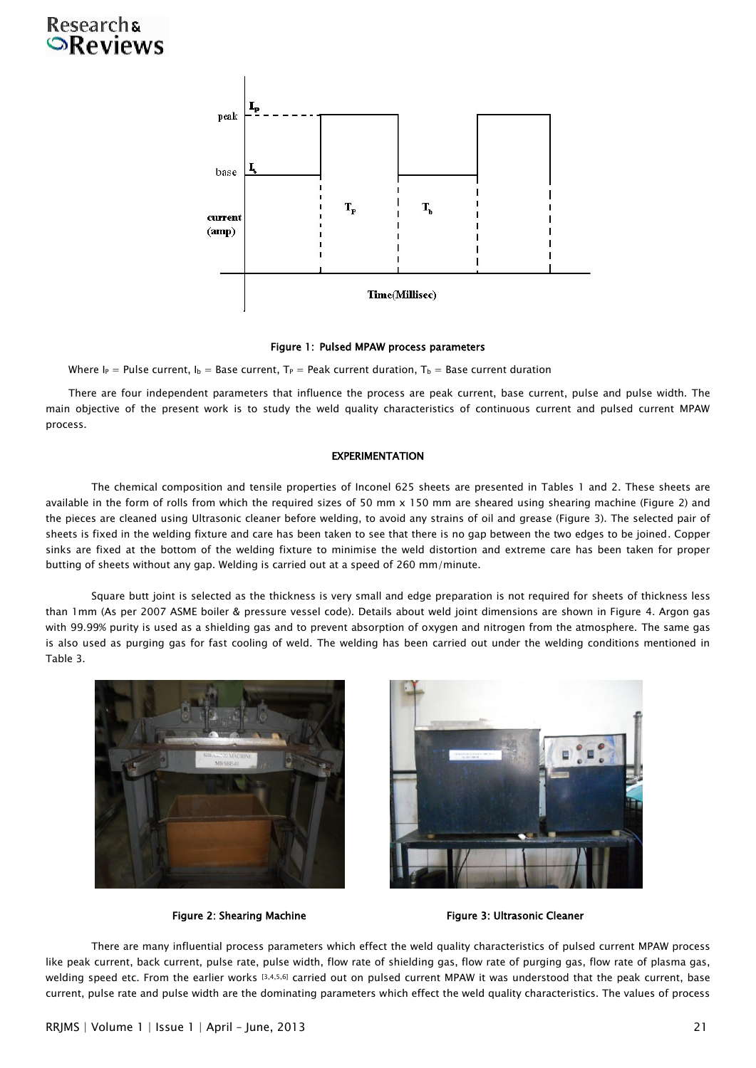# **Research& OReviews**



#### Figure 1: Pulsed MPAW process parameters

Where I<sub>P</sub> = Pulse current, I<sub>b</sub> = Base current, T<sub>P</sub> = Peak current duration, T<sub>b</sub> = Base current duration

There are four independent parameters that influence the process are peak current, base current, pulse and pulse width. The main objective of the present work is to study the weld quality characteristics of continuous current and pulsed current MPAW process.

#### **EXPERIMENTATION**

The chemical composition and tensile properties of Inconel 625 sheets are presented in Tables 1 and 2. These sheets are available in the form of rolls from which the required sizes of 50 mm x 150 mm are sheared using shearing machine (Figure 2) and the pieces are cleaned using Ultrasonic cleaner before welding, to avoid any strains of oil and grease (Figure 3). The selected pair of sheets is fixed in the welding fixture and care has been taken to see that there is no gap between the two edges to be joined. Copper sinks are fixed at the bottom of the welding fixture to minimise the weld distortion and extreme care has been taken for proper butting of sheets without any gap. Welding is carried out at a speed of 260 mm/minute.

Square butt joint is selected as the thickness is very small and edge preparation is not required for sheets of thickness less than 1mm (As per 2007 ASME boiler & pressure vessel code). Details about weld joint dimensions are shown in Figure 4. Argon gas with 99.99% purity is used as a shielding gas and to prevent absorption of oxygen and nitrogen from the atmosphere. The same gas is also used as purging gas for fast cooling of weld. The welding has been carried out under the welding conditions mentioned in Table 3.





Figure 2: Shearing Machine Figure 3: Ultrasonic Cleaner

There are many influential process parameters which effect the weld quality characteristics of pulsed current MPAW process like peak current, back current, pulse rate, pulse width, flow rate of shielding gas, flow rate of purging gas, flow rate of plasma gas, welding speed etc. From the earlier works [3,4,5,6] carried out on pulsed current MPAW it was understood that the peak current, base current, pulse rate and pulse width are the dominating parameters which effect the weld quality characteristics. The values of process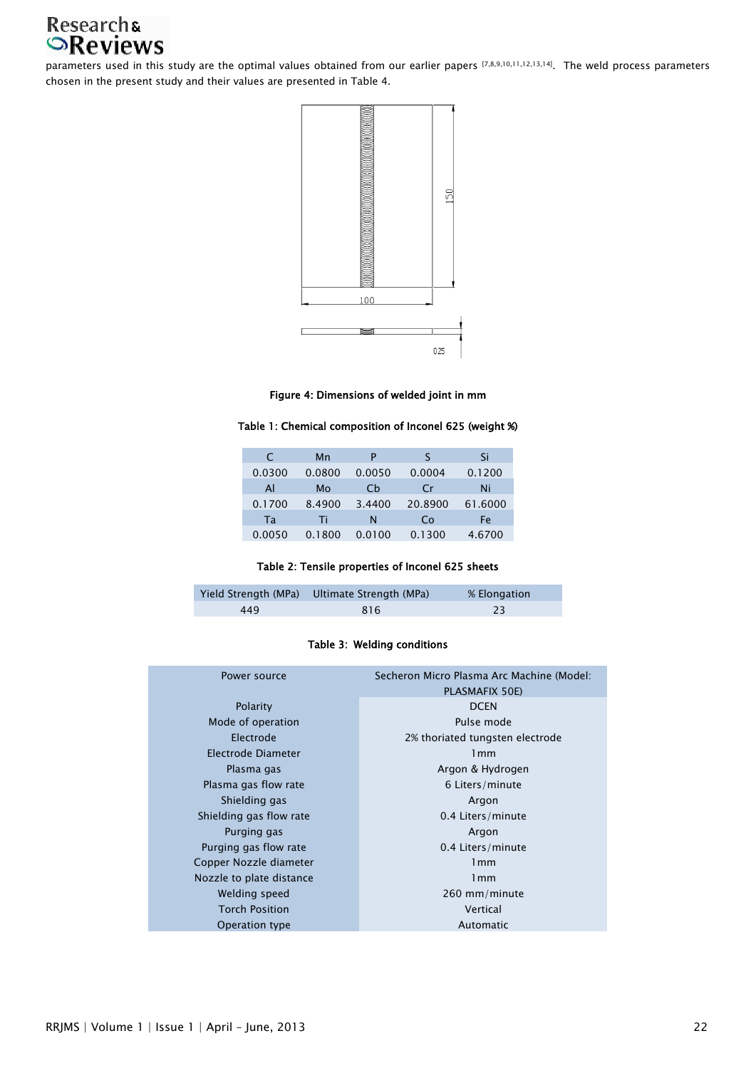# Research&<br>**OReviews**

parameters used in this study are the optimal values obtained from our earlier papers [7,8,9,10,11,12,13,14]. The weld process parameters chosen in the present study and their values are presented in Table 4.



## Figure 4: Dimensions of welded joint in mm

### Table 1: Chemical composition of Inconel 625 (weight %)

| C      | Mn     | Р      | ς             | Si      |
|--------|--------|--------|---------------|---------|
| 0.0300 | 0.0800 | 0.0050 | 0.0004        | 0.1200  |
| Al     | Mo     | Ch     | $\mathsf{Cr}$ | Ni      |
| 0.1700 | 8.4900 | 3.4400 | 20.8900       | 61.6000 |
| Та     | Ti     | N      | Co            | Fe      |
| 0.0050 | 0.1800 | 0.0100 | 0.1300        | 4.6700  |

## Table 2: Tensile properties of Inconel 625 sheets

|     | Yield Strength (MPa) Ultimate Strength (MPa) | % Elongation |
|-----|----------------------------------------------|--------------|
| 449 | 816                                          |              |

## Table 3: Welding conditions

| Power source             | Secheron Micro Plasma Arc Machine (Model:<br>PLASMAFIX 50E) |  |
|--------------------------|-------------------------------------------------------------|--|
| Polarity                 | <b>DCEN</b>                                                 |  |
| Mode of operation        | Pulse mode                                                  |  |
| Electrode                | 2% thoriated tungsten electrode                             |  |
| Electrode Diameter       | 1mm                                                         |  |
| Plasma gas               | Argon & Hydrogen                                            |  |
| Plasma gas flow rate     | 6 Liters/minute                                             |  |
| Shielding gas            | Argon                                                       |  |
| Shielding gas flow rate  | 0.4 Liters/minute                                           |  |
| Purging gas              | Argon                                                       |  |
| Purging gas flow rate    | 0.4 Liters/minute                                           |  |
| Copper Nozzle diameter   | 1mm                                                         |  |
| Nozzle to plate distance | 1mm                                                         |  |
| Welding speed            | 260 mm/minute                                               |  |
| <b>Torch Position</b>    | Vertical                                                    |  |
| Operation type           | Automatic                                                   |  |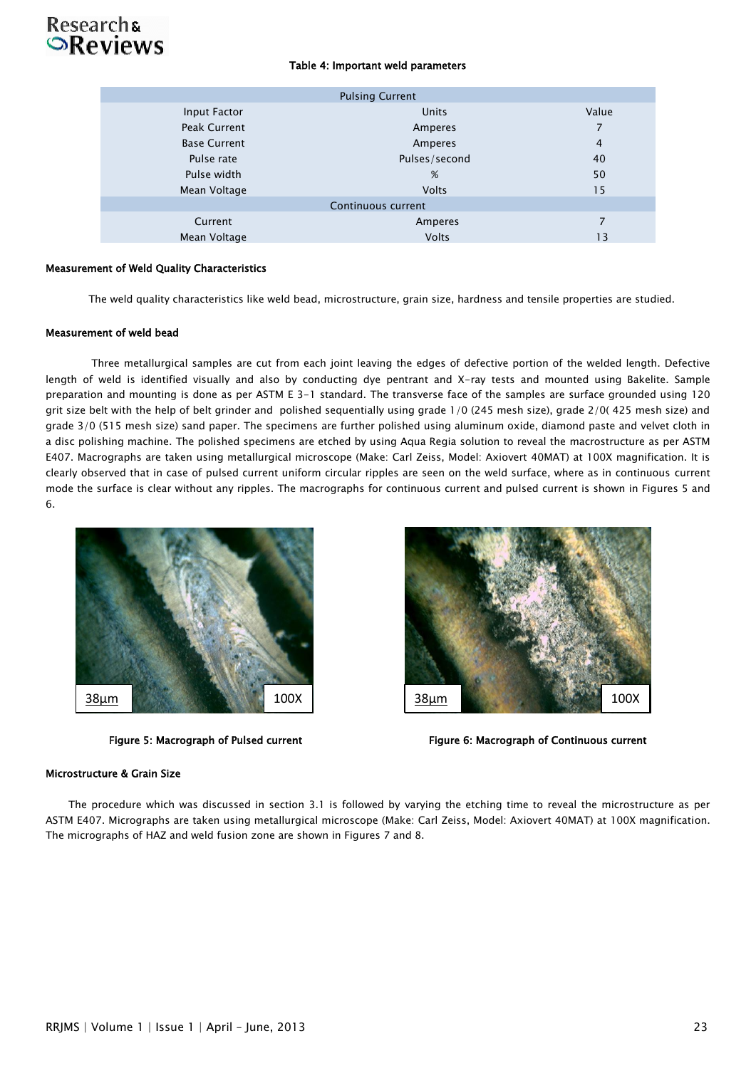# Research<sub>s</sub><br> **Reviews**

## Table 4: Important weld parameters

| <b>Pulsing Current</b> |               |                |  |  |  |
|------------------------|---------------|----------------|--|--|--|
| Input Factor           | Units         | Value          |  |  |  |
| Peak Current           | Amperes       | 7              |  |  |  |
| <b>Base Current</b>    | Amperes       | $\overline{4}$ |  |  |  |
| Pulse rate             | Pulses/second | 40             |  |  |  |
| Pulse width            | %             | 50             |  |  |  |
| Mean Voltage           | <b>Volts</b>  | 15             |  |  |  |
| Continuous current     |               |                |  |  |  |
| Current                | Amperes       | 7              |  |  |  |
| Mean Voltage           | <b>Volts</b>  | 13             |  |  |  |
|                        |               |                |  |  |  |

#### Measurement of Weld Quality Characteristics

The weld quality characteristics like weld bead, microstructure, grain size, hardness and tensile properties are studied.

#### Measurement of weld bead

Three metallurgical samples are cut from each joint leaving the edges of defective portion of the welded length. Defective length of weld is identified visually and also by conducting dye pentrant and X-ray tests and mounted using Bakelite. Sample preparation and mounting is done as per ASTM E 3-1 standard. The transverse face of the samples are surface grounded using 120 grit size belt with the help of belt grinder and polished sequentially using grade 1/0 (245 mesh size), grade 2/0( 425 mesh size) and grade 3/0 (515 mesh size) sand paper. The specimens are further polished using aluminum oxide, diamond paste and velvet cloth in a disc polishing machine. The polished specimens are etched by using Aqua Regia solution to reveal the macrostructure as per ASTM E407. Macrographs are taken using metallurgical microscope (Make: Carl Zeiss, Model: Axiovert 40MAT) at 100X magnification. It is clearly observed that in case of pulsed current uniform circular ripples are seen on the weld surface, where as in continuous current mode the surface is clear without any ripples. The macrographs for continuous current and pulsed current is shown in Figures 5 and 6.





Figure 5: Macrograph of Pulsed current Figure 6: Macrograph of Continuous current

#### Microstructure & Grain Size

The procedure which was discussed in section 3.1 is followed by varying the etching time to reveal the microstructure as per ASTM E407. Micrographs are taken using metallurgical microscope (Make: Carl Zeiss, Model: Axiovert 40MAT) at 100X magnification. The micrographs of HAZ and weld fusion zone are shown in Figures 7 and 8.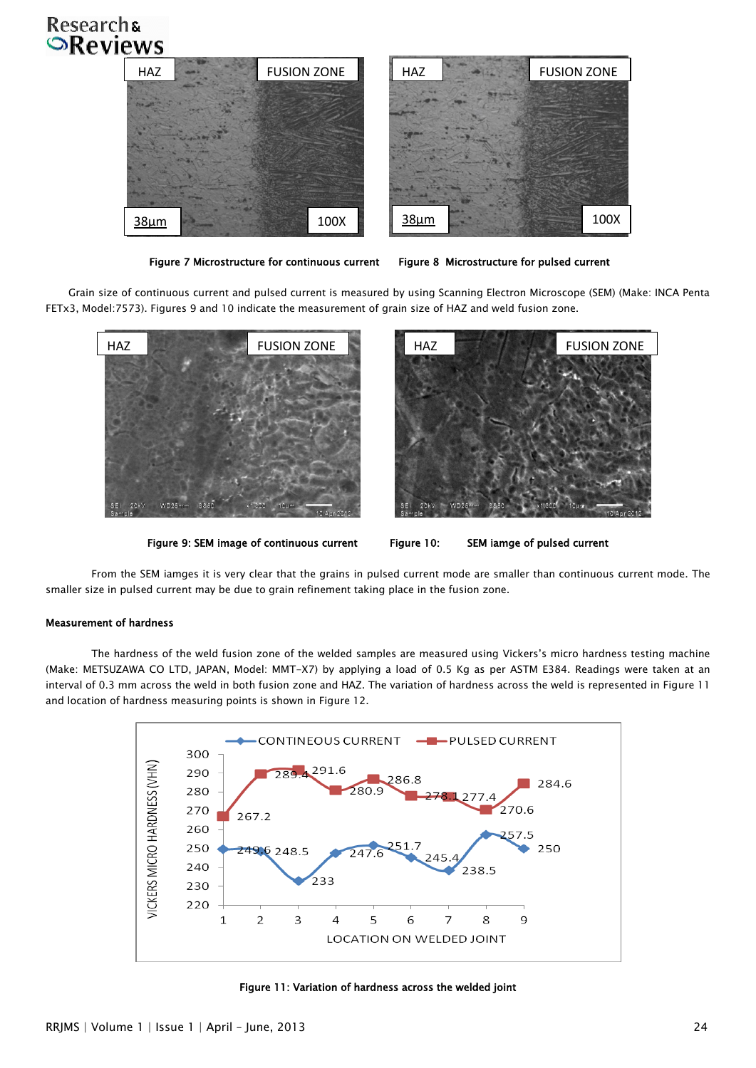# Researchs<br> **Reviews**



Figure 7 Microstructure for continuous current Figure 8 Microstructure for pulsed current

Grain size of continuous current and pulsed current is measured by using Scanning Electron Microscope (SEM) (Make: INCA Penta FETx3, Model:7573). Figures 9 and 10 indicate the measurement of grain size of HAZ and weld fusion zone.



Figure 9: SEM image of continuous current Figure 10: SEM iamge of pulsed current

From the SEM iamges it is very clear that the grains in pulsed current mode are smaller than continuous current mode. The smaller size in pulsed current may be due to grain refinement taking place in the fusion zone.

## Measurement of hardness

The hardness of the weld fusion zone of the welded samples are measured using Vickers's micro hardness testing machine (Make: METSUZAWA CO LTD, JAPAN, Model: MMT-X7) by applying a load of 0.5 Kg as per ASTM E384. Readings were taken at an interval of 0.3 mm across the weld in both fusion zone and HAZ. The variation of hardness across the weld is represented in Figure 11 and location of hardness measuring points is shown in Figure 12.



Figure 11: Variation of hardness across the welded joint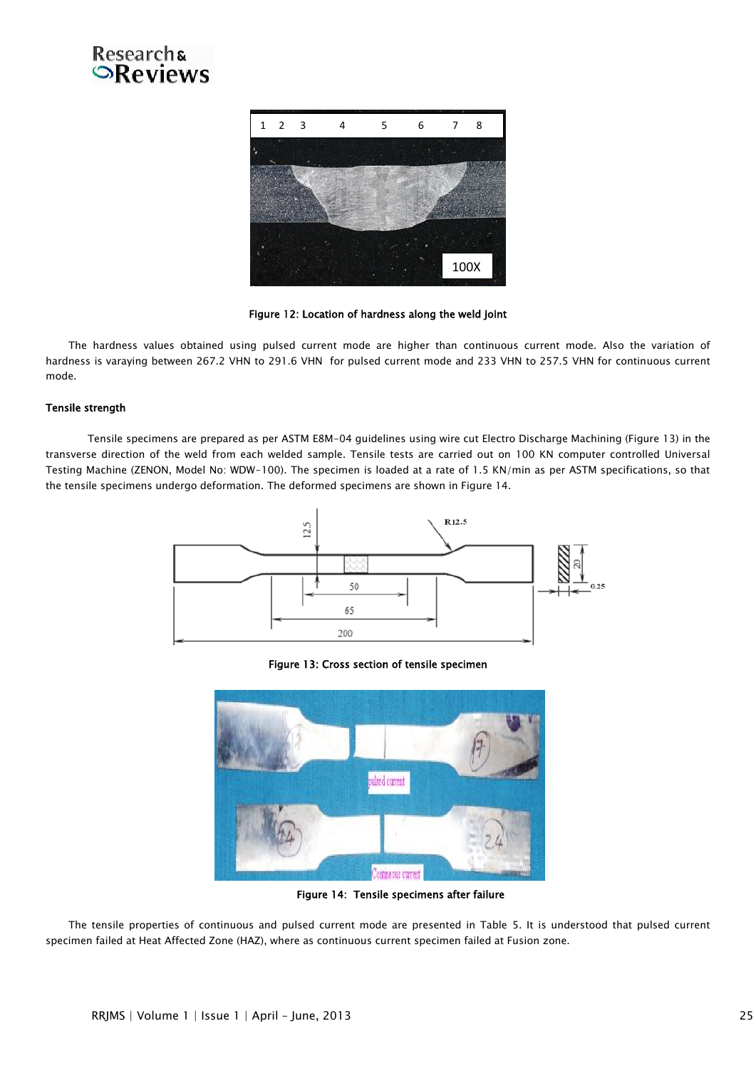



Figure 12: Location of hardness along the weld joint

The hardness values obtained using pulsed current mode are higher than continuous current mode. Also the variation of hardness is varaying between 267.2 VHN to 291.6 VHN for pulsed current mode and 233 VHN to 257.5 VHN for continuous current mode.

### Tensile strength

 Tensile specimens are prepared as per ASTM E8M-04 guidelines using wire cut Electro Discharge Machining (Figure 13) in the transverse direction of the weld from each welded sample. Tensile tests are carried out on 100 KN computer controlled Universal Testing Machine (ZENON, Model No: WDW-100). The specimen is loaded at a rate of 1.5 KN/min as per ASTM specifications, so that the tensile specimens undergo deformation. The deformed specimens are shown in Figure 14.



Figure 13: Cross section of tensile specimen



Figure 14: Tensile specimens after failure

The tensile properties of continuous and pulsed current mode are presented in Table 5. It is understood that pulsed current specimen failed at Heat Affected Zone (HAZ), where as continuous current specimen failed at Fusion zone.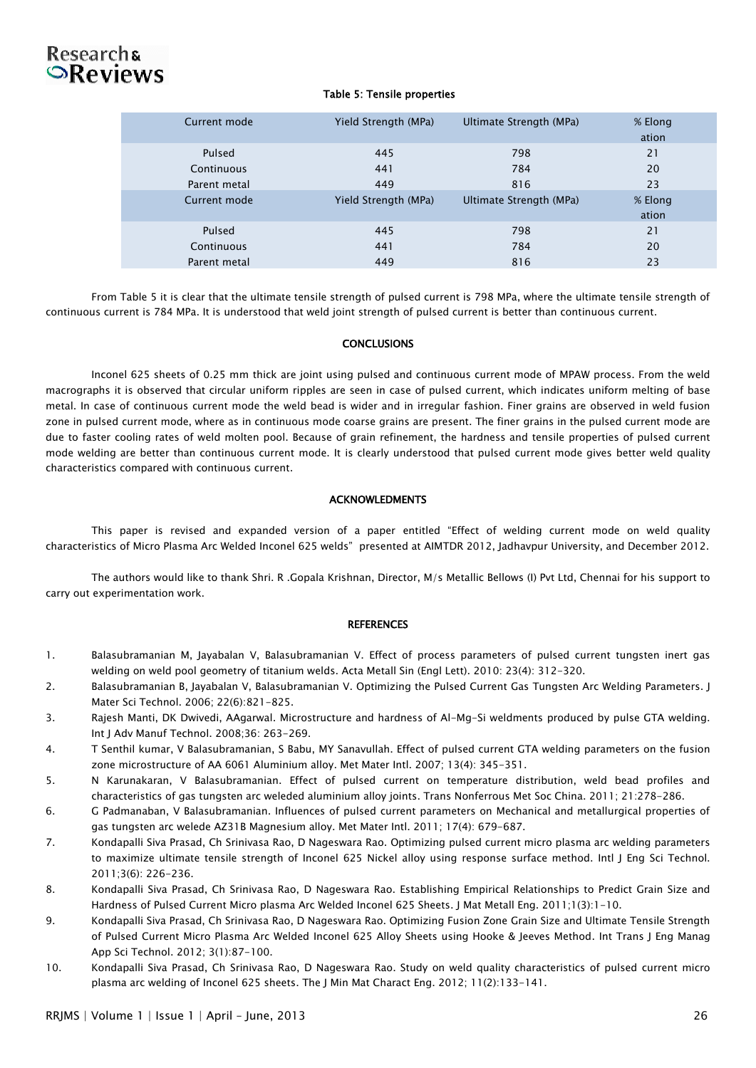# **Researchs OReviews**

#### Table 5: Tensile properties

| Current mode | Yield Strength (MPa) | Ultimate Strength (MPa) | % Elong<br>ation |
|--------------|----------------------|-------------------------|------------------|
| Pulsed       | 445                  | 798                     | 21               |
| Continuous   | 441                  | 784                     | 20               |
| Parent metal | 449                  | 816                     | 23               |
| Current mode | Yield Strength (MPa) | Ultimate Strength (MPa) | % Elong          |
|              |                      |                         | ation            |
| Pulsed       | 445                  | 798                     | 21               |
| Continuous   | 441                  | 784                     | 20               |
| Parent metal | 449                  | 816                     | 23               |

From Table 5 it is clear that the ultimate tensile strength of pulsed current is 798 MPa, where the ultimate tensile strength of continuous current is 784 MPa. It is understood that weld joint strength of pulsed current is better than continuous current.

### **CONCLUSIONS**

Inconel 625 sheets of 0.25 mm thick are joint using pulsed and continuous current mode of MPAW process. From the weld macrographs it is observed that circular uniform ripples are seen in case of pulsed current, which indicates uniform melting of base metal. In case of continuous current mode the weld bead is wider and in irregular fashion. Finer grains are observed in weld fusion zone in pulsed current mode, where as in continuous mode coarse grains are present. The finer grains in the pulsed current mode are due to faster cooling rates of weld molten pool. Because of grain refinement, the hardness and tensile properties of pulsed current mode welding are better than continuous current mode. It is clearly understood that pulsed current mode gives better weld quality characteristics compared with continuous current.

#### ACKNOWLEDMENTS

This paper is revised and expanded version of a paper entitled "Effect of welding current mode on weld quality characteristics of Micro Plasma Arc Welded Inconel 625 welds" presented at AIMTDR 2012, Jadhavpur University, and December 2012.

The authors would like to thank Shri. R .Gopala Krishnan, Director, M/s Metallic Bellows (I) Pvt Ltd, Chennai for his support to carry out experimentation work.

#### **REFERENCES**

- 1. Balasubramanian M, Jayabalan V, Balasubramanian V. Effect of process parameters of pulsed current tungsten inert gas welding on weld pool geometry of titanium welds. Acta Metall Sin (Engl Lett). 2010: 23(4): 312-320.
- 2. Balasubramanian B, Jayabalan V, Balasubramanian V. Optimizing the Pulsed Current Gas Tungsten Arc Welding Parameters. J Mater Sci Technol. 2006; 22(6):821-825.
- 3. Rajesh Manti, DK Dwivedi, AAgarwal. Microstructure and hardness of Al-Mg-Si weldments produced by pulse GTA welding. Int J Adv Manuf Technol. 2008;36: 263-269.
- 4. T Senthil kumar, V Balasubramanian, S Babu, MY Sanavullah. Effect of pulsed current GTA welding parameters on the fusion zone microstructure of AA 6061 Aluminium alloy. Met Mater Intl. 2007; 13(4): 345-351.
- 5. N Karunakaran, V Balasubramanian. Effect of pulsed current on temperature distribution, weld bead profiles and characteristics of gas tungsten arc weleded aluminium alloy joints. Trans Nonferrous Met Soc China. 2011; 21:278-286.
- 6. G Padmanaban, V Balasubramanian. Influences of pulsed current parameters on Mechanical and metallurgical properties of gas tungsten arc welede AZ31B Magnesium alloy. Met Mater Intl. 2011; 17(4): 679-687.
- 7. Kondapalli Siva Prasad, Ch Srinivasa Rao, D Nageswara Rao. Optimizing pulsed current micro plasma arc welding parameters to maximize ultimate tensile strength of Inconel 625 Nickel alloy using response surface method. Intl J Eng Sci Technol. 2011;3(6): 226-236.
- 8. Kondapalli Siva Prasad, Ch Srinivasa Rao, D Nageswara Rao. Establishing Empirical Relationships to Predict Grain Size and Hardness of Pulsed Current Micro plasma Arc Welded Inconel 625 Sheets. J Mat Metall Eng. 2011;1(3):1-10.
- 9. Kondapalli Siva Prasad, Ch Srinivasa Rao, D Nageswara Rao. Optimizing Fusion Zone Grain Size and Ultimate Tensile Strength of Pulsed Current Micro Plasma Arc Welded Inconel 625 Alloy Sheets using Hooke & Jeeves Method. Int Trans J Eng Manag App Sci Technol. 2012; 3(1):87-100.
- 10. Kondapalli Siva Prasad, Ch Srinivasa Rao, D Nageswara Rao. Study on weld quality characteristics of pulsed current micro plasma arc welding of Inconel 625 sheets. The J Min Mat Charact Eng. 2012; 11(2):133-141.